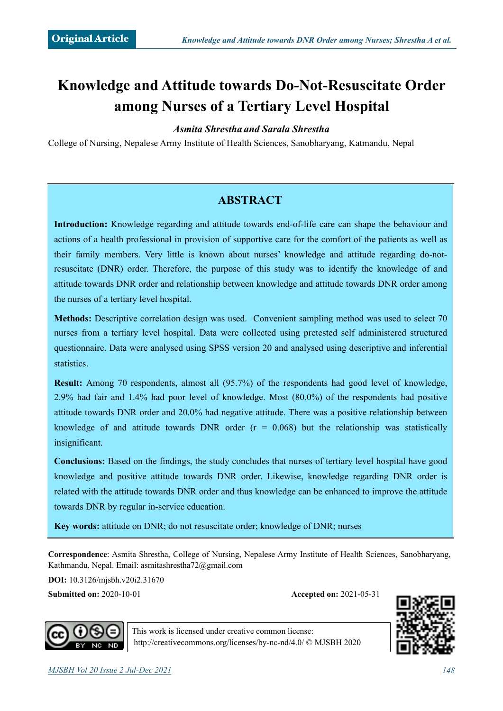# **Knowledge and Attitude towards Do-Not-Resuscitate Order among Nurses of a Tertiary Level Hospital**

#### *Asmita Shrestha and Sarala Shrestha*

College of Nursing, Nepalese Army Institute of Health Sciences, Sanobharyang, Katmandu, Nepal

# **ABSTRACT**

**Introduction:** Knowledge regarding and attitude towards end-of-life care can shape the behaviour and actions of a health professional in provision of supportive care for the comfort of the patients as well as their family members. Very little is known about nurses' knowledge and attitude regarding do-notresuscitate (DNR) order. Therefore, the purpose of this study was to identify the knowledge of and attitude towards DNR order and relationship between knowledge and attitude towards DNR order among the nurses of a tertiary level hospital.

**Methods:** Descriptive correlation design was used. Convenient sampling method was used to select 70 nurses from a tertiary level hospital. Data were collected using pretested self administered structured questionnaire. Data were analysed using SPSS version 20 and analysed using descriptive and inferential statistics.

**Result:** Among 70 respondents, almost all (95.7%) of the respondents had good level of knowledge, 2.9% had fair and 1.4% had poor level of knowledge. Most (80.0%) of the respondents had positive attitude towards DNR order and 20.0% had negative attitude. There was a positive relationship between knowledge of and attitude towards DNR order  $(r = 0.068)$  but the relationship was statistically insignificant.

**Conclusions:** Based on the findings, the study concludes that nurses of tertiary level hospital have good knowledge and positive attitude towards DNR order. Likewise, knowledge regarding DNR order is related with the attitude towards DNR order and thus knowledge can be enhanced to improve the attitude towards DNR by regular in-service education.

**Key words:** attitude on DNR; do not resuscitate order; knowledge of DNR; nurses

**Correspondence**: Asmita Shrestha, College of Nursing, Nepalese Army Institute of Health Sciences, Sanobharyang, Kathmandu, Nepal. Email: asmitashrestha72@[gmail.com](http://gmail.com)

**DOI:** 10.3126/mjsbh.v20i2.31670

**Submitted on:** 2020-10-01 **Accepted on:** 2021-05-31





This work is licensed under creative common license: <http://creativecommons.org/licenses/by-nc-nd/4.0/>© MJSBH 2020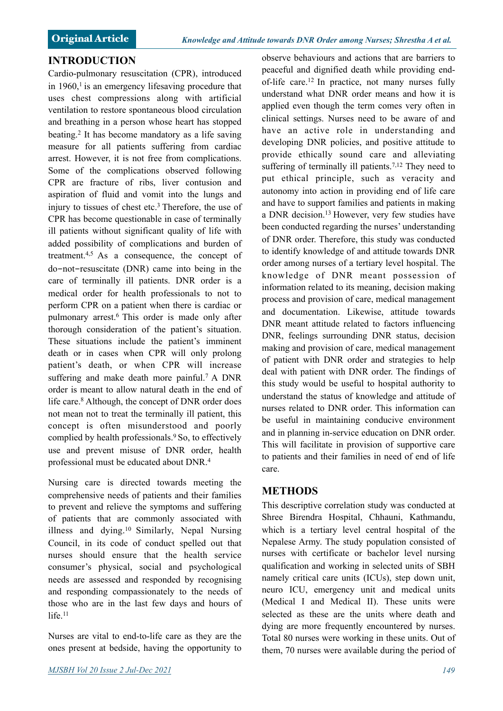## **INTRODUCTION**

Cardio-pulmonary resuscitation (CPR), introduced in  $1960$ ,<sup>1</sup> is an emergency lifesaving procedure that uses chest compressions along with artificial ventilation to restore spontaneous blood circulation and breathing in a person whose heart has stopped beating.2 It has become mandatory as a life saving measure for all patients suffering from cardiac arrest. However, it is not free from complications. Some of the complications observed following CPR are fracture of ribs, liver contusion and aspiration of fluid and vomit into the lungs and injury to tissues of chest etc.<sup>3</sup> Therefore, the use of CPR has become questionable in case of terminally ill patients without significant quality of life with added possibility of complications and burden of treatment.4,5 As a consequence, the concept of do-not-resuscitate (DNR) came into being in the care of terminally ill patients. DNR order is a medical order for health professionals to not to perform CPR on a patient when there is cardiac or pulmonary arrest.6 This order is made only after thorough consideration of the patient's situation. These situations include the patient's imminent death or in cases when CPR will only prolong patient's death, or when CPR will increase suffering and make death more painful.<sup>7</sup> A DNR order is meant to allow natural death in the end of life care.<sup>8</sup> Although, the concept of DNR order does not mean not to treat the terminally ill patient, this concept is often misunderstood and poorly complied by health professionals.9 So, to effectively use and prevent misuse of DNR order, health professional must be educated about DNR.4

Nursing care is directed towards meeting the comprehensive needs of patients and their families to prevent and relieve the symptoms and suffering of patients that are commonly associated with illness and dying.10 Similarly, Nepal Nursing Council, in its code of conduct spelled out that nurses should ensure that the health service consumer's physical, social and psychological needs are assessed and responded by recognising and responding compassionately to the needs of those who are in the last few days and hours of life $11$ 

Nurses are vital to end-to-life care as they are the ones present at bedside, having the opportunity to

observe behaviours and actions that are barriers to peaceful and dignified death while providing endof-life care.12 In practice, not many nurses fully understand what DNR order means and how it is applied even though the term comes very often in clinical settings. Nurses need to be aware of and have an active role in understanding and developing DNR policies, and positive attitude to provide ethically sound care and alleviating suffering of terminally ill patients.<sup>7,12</sup> They need to put ethical principle, such as veracity and autonomy into action in providing end of life care and have to support families and patients in making a DNR decision.13 However, very few studies have been conducted regarding the nurses' understanding of DNR order. Therefore, this study was conducted to identify knowledge of and attitude towards DNR order among nurses of a tertiary level hospital. The knowledge of DNR meant possession of information related to its meaning, decision making process and provision of care, medical management and documentation. Likewise, attitude towards DNR meant attitude related to factors influencing DNR, feelings surrounding DNR status, decision making and provision of care, medical management of patient with DNR order and strategies to help deal with patient with DNR order. The findings of this study would be useful to hospital authority to understand the status of knowledge and attitude of nurses related to DNR order. This information can be useful in maintaining conducive environment and in planning in-service education on DNR order. This will facilitate in provision of supportive care to patients and their families in need of end of life care.

# **METHODS**

This descriptive correlation study was conducted at Shree Birendra Hospital, Chhauni, Kathmandu, which is a tertiary level central hospital of the Nepalese Army. The study population consisted of nurses with certificate or bachelor level nursing qualification and working in selected units of SBH namely critical care units (ICUs), step down unit, neuro ICU, emergency unit and medical units (Medical I and Medical II). These units were selected as these are the units where death and dying are more frequently encountered by nurses. Total 80 nurses were working in these units. Out of them, 70 nurses were available during the period of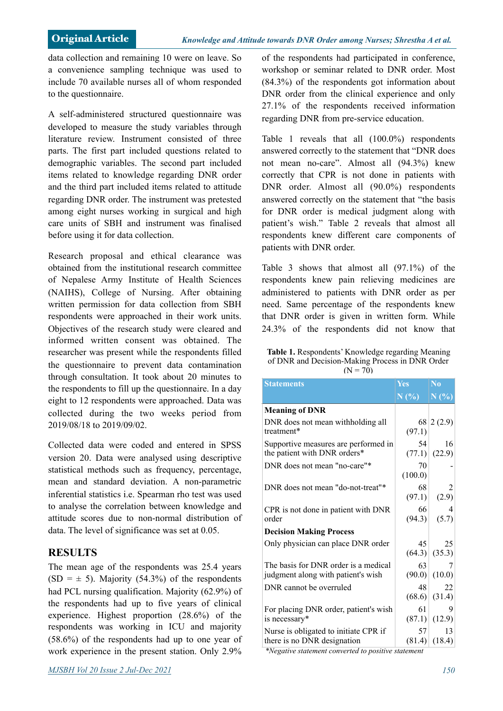data collection and remaining 10 were on leave. So a convenience sampling technique was used to include 70 available nurses all of whom responded to the questionnaire.

A self-administered structured questionnaire was developed to measure the study variables through literature review. Instrument consisted of three parts. The first part included questions related to demographic variables. The second part included items related to knowledge regarding DNR order and the third part included items related to attitude regarding DNR order. The instrument was pretested among eight nurses working in surgical and high care units of SBH and instrument was finalised before using it for data collection.

Research proposal and ethical clearance was obtained from the institutional research committee of Nepalese Army Institute of Health Sciences (NAIHS), College of Nursing. After obtaining written permission for data collection from SBH respondents were approached in their work units. Objectives of the research study were cleared and informed written consent was obtained. The researcher was present while the respondents filled the questionnaire to prevent data contamination through consultation. It took about 20 minutes to the respondents to fill up the questionnaire. In a day eight to 12 respondents were approached. Data was collected during the two weeks period from 2019/08/18 to 2019/09/02.

Collected data were coded and entered in SPSS version 20. Data were analysed using descriptive statistical methods such as frequency, percentage, mean and standard deviation. A non-parametric inferential statistics i.e. Spearman rho test was used to analyse the correlation between knowledge and attitude scores due to non-normal distribution of data. The level of significance was set at 0.05.

# **RESULTS**

The mean age of the respondents was 25.4 years  $(SD = \pm 5)$ . Majority (54.3%) of the respondents had PCL nursing qualification. Majority (62.9%) of the respondents had up to five years of clinical experience. Highest proportion (28.6%) of the respondents was working in ICU and majority (58.6%) of the respondents had up to one year of work experience in the present station. Only 2.9% of the respondents had participated in conference, workshop or seminar related to DNR order. Most (84.3%) of the respondents got information about DNR order from the clinical experience and only 27.1% of the respondents received information regarding DNR from pre-service education.

Table 1 reveals that all (100.0%) respondents answered correctly to the statement that "DNR does not mean no-care". Almost all (94.3%) knew correctly that CPR is not done in patients with DNR order. Almost all (90.0%) respondents answered correctly on the statement that "the basis for DNR order is medical judgment along with patient's wish." Table 2 reveals that almost all respondents knew different care components of patients with DNR order.

Table 3 shows that almost all (97.1%) of the respondents knew pain relieving medicines are administered to patients with DNR order as per need. Same percentage of the respondents knew that DNR order is given in written form. While 24.3% of the respondents did not know that

| Table 1. Respondents' Knowledge regarding Meaning |
|---------------------------------------------------|
| of DNR and Decision-Making Process in DNR Order   |
| $(N = 70)$                                        |

| <b>Statements</b>                                                                                                        | <b>Yes</b>    | N <sub>o</sub> |
|--------------------------------------------------------------------------------------------------------------------------|---------------|----------------|
|                                                                                                                          | N(%)          | N(%)           |
| <b>Meaning of DNR</b>                                                                                                    |               |                |
| DNR does not mean withholding all<br>treatment*                                                                          | (97.1)        | 68 2 (2.9)     |
| Supportive measures are performed in<br>the patient with DNR orders*                                                     | 54<br>(77.1)  | 16<br>(22.9)   |
| DNR does not mean "no-care"*                                                                                             | 70<br>(100.0) |                |
| DNR does not mean "do-not-treat"*                                                                                        | 68<br>(97.1)  | 2<br>(2.9)     |
| CPR is not done in patient with DNR<br>order                                                                             | 66<br>(94.3)  | 4<br>(5.7)     |
| <b>Decision Making Process</b>                                                                                           |               |                |
| Only physician can place DNR order                                                                                       | 45<br>(64.3)  | 25<br>(35.3)   |
| The basis for DNR order is a medical<br>judgment along with patient's wish                                               | 63<br>(90.0)  | 7<br>(10.0)    |
| DNR cannot be overruled                                                                                                  | 48<br>(68.6)  | 22<br>(31.4)   |
| For placing DNR order, patient's wish<br>is necessary*                                                                   | 61<br>(87.1)  | 9<br>(12.9)    |
| Nurse is obligated to initiate CPR if<br>there is no DNR designation<br>$\sim$ $\sim$ $\sim$ $\sim$ $\sim$ $\sim$ $\sim$ | 57<br>(81.4)  | 13<br>(18.4)   |

*\*Negative statement converted to positive statement*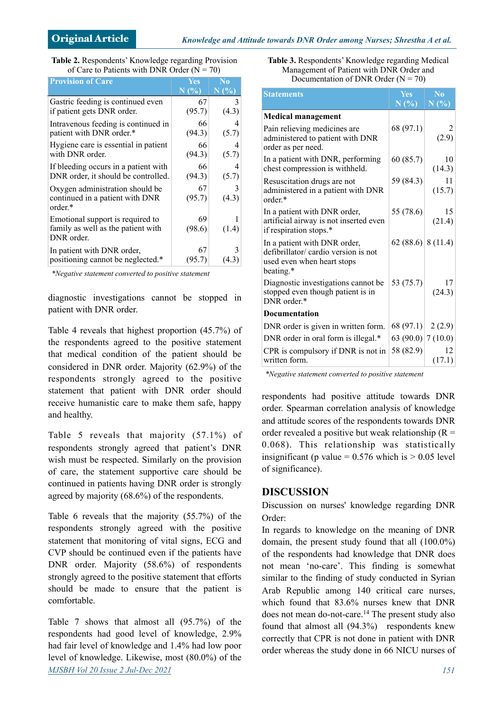| Table 2. Respondents' Knowledge regarding Provision |  |
|-----------------------------------------------------|--|
| of Care to Patients with DNR Order ( $N = 70$ )     |  |

| <b>Provision of Care</b>             | <b>Yes</b>                  | No.                                    |
|--------------------------------------|-----------------------------|----------------------------------------|
|                                      | $N(\overline{\frac{9}{6}})$ | $\overline{\rm N}$ $(\overline{\!\%})$ |
| Gastric feeding is continued even    | 67                          | 3                                      |
| if patient gets DNR order.           | (95.7)                      | (4.3)                                  |
| Intravenous feeding is continued in  | 66                          | 4                                      |
| patient with DNR order.*             | (94.3)                      | (5.7)                                  |
| Hygiene care is essential in patient | 66                          | 4                                      |
| with DNR order.                      | (94.3)                      | (5.7)                                  |
| If bleeding occurs in a patient with | 66                          | 4                                      |
| DNR order, it should be controlled.  | (94.3)                      | (5.7)                                  |
| Oxygen administration should be      | 67                          | 3                                      |
| continued in a patient with DNR      | (95.7)                      | (4.3)                                  |
| $order.*$                            |                             |                                        |
| Emotional support is required to     | 69                          |                                        |
| family as well as the patient with   | (98.6)                      | (1.4)                                  |
| DNR order.                           |                             |                                        |
| In patient with DNR order,           | 67                          | 3                                      |
| positioning cannot be neglected.*    | (95.7)                      | (4.3)                                  |

*\*Negative statement converted to positive statement* 

diagnostic investigations cannot be stopped in patient with DNR order.

Table 4 reveals that highest proportion (45.7%) of the respondents agreed to the positive statement that medical condition of the patient should be considered in DNR order. Majority (62.9%) of the respondents strongly agreed to the positive statement that patient with DNR order should receive humanistic care to make them safe, happy and healthy.

Table 5 reveals that majority (57.1%) of respondents strongly agreed that patient's DNR wish must be respected. Similarly on the provision of care, the statement supportive care should be continued in patients having DNR order is strongly agreed by majority (68.6%) of the respondents.

Table 6 reveals that the majority (55.7%) of the respondents strongly agreed with the positive statement that monitoring of vital signs, ECG and CVP should be continued even if the patients have DNR order. Majority (58.6%) of respondents strongly agreed to the positive statement that efforts should be made to ensure that the patient is comfortable.

Table 7 shows that almost all (95.7%) of the respondents had good level of knowledge, 2.9% had fair level of knowledge and 1.4% had low poor level of knowledge. Likewise, most (80.0%) of the *MJSBH Vol 20 Issue 2 Jul-Dec 2021 151*

| Table 3. Respondents' Knowledge regarding Medical |
|---------------------------------------------------|
| Management of Patient with DNR Order and          |
| Documentation of DNR Order ( $N = 70$ )           |

| <b>Statements</b>                                                                                               | <b>Yes</b><br>N(%    | $\bf No$<br>N(%) |
|-----------------------------------------------------------------------------------------------------------------|----------------------|------------------|
|                                                                                                                 |                      |                  |
| <b>Medical management</b>                                                                                       |                      |                  |
| Pain relieving medicines are<br>administered to patient with DNR<br>order as per need.                          | 68 (97.1)            | (2.9)            |
| In a patient with DNR, performing<br>chest compression is withheld.                                             | 60(85.7)             | 10<br>(14.3)     |
| Resuscitation drugs are not<br>administered in a patient with DNR<br>order *                                    | 59 (84.3)            | 11<br>(15.7)     |
| In a patient with DNR order,<br>artificial airway is not inserted even<br>if respiration stops.*                | 55 (78.6)            | 15<br>(21.4)     |
| In a patient with DNR order,<br>defibrillator/ cardio version is not<br>used even when heart stops<br>beating.* | 62 (88.6) 8 (11.4)   |                  |
| Diagnostic investigations cannot be<br>stopped even though patient is in<br>DNR order.*                         | 53 (75.7)            | 17<br>(24.3)     |
| <b>Documentation</b>                                                                                            |                      |                  |
| DNR order is given in written form.                                                                             | 68 (97.1)            | 2(2.9)           |
| DNR order in oral form is illegal.*                                                                             | 63 (90.0) $ 7(10.0)$ |                  |
| CPR is compulsory if DNR is not in<br>written form.                                                             | 58 (82.9)            | 12<br>(17.1)     |

*\*Negative statement converted to positive statement* 

respondents had positive attitude towards DNR order. Spearman correlation analysis of knowledge and attitude scores of the respondents towards DNR order revealed a positive but weak relationship  $(R =$ 0.068). This relationship was statistically insignificant (p value =  $0.576$  which is  $> 0.05$  level of significance).

### **DISCUSSION**

Discussion on nurses' knowledge regarding DNR Order:

In regards to knowledge on the meaning of DNR domain, the present study found that all (100.0%) of the respondents had knowledge that DNR does not mean 'no-care'. This finding is somewhat similar to the finding of study conducted in Syrian Arab Republic among 140 critical care nurses, which found that 83.6% nurses knew that DNR does not mean do-not-care.<sup>14</sup> The present study also found that almost all (94.3%) respondents knew correctly that CPR is not done in patient with DNR order whereas the study done in 66 NICU nurses of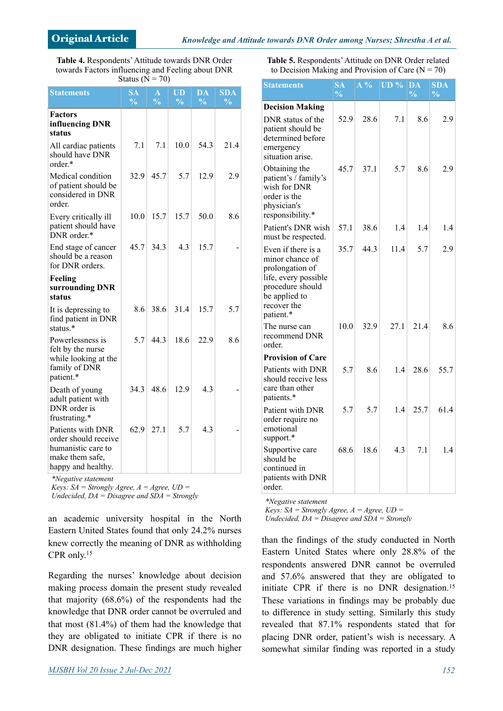**Table 4.** Respondents' Attitude towards DNR Order towards Factors influencing and Feeling about DNR Status ( $\overline{N}$  = 70)

| <b>Statements</b>                                                                                        | <b>SA</b><br>$\frac{0}{0}$ | A<br>$\frac{0}{0}$ | UD<br>$\frac{0}{0}$ | DA<br>$\frac{0}{0}$ | <b>SDA</b><br>$\frac{0}{0}$ |
|----------------------------------------------------------------------------------------------------------|----------------------------|--------------------|---------------------|---------------------|-----------------------------|
| <b>Factors</b><br>influencing DNR<br>status                                                              |                            |                    |                     |                     |                             |
| All cardiac patients<br>should have DNR<br>order*                                                        | 7.1                        | 7.1                | 10.0                | 54.3                | 21.4                        |
| Medical condition<br>of patient should be<br>considered in DNR<br>order.                                 | 32.9                       | 45.7               | 5.7                 | 12.9                | 2.9                         |
| Every critically ill<br>patient should have<br>DNR order.*                                               | 10.0                       | 15.7               | 15.7                | 50.0                | 8.6                         |
| End stage of cancer<br>should be a reason<br>for DNR orders.                                             | 45.7                       | 34.3               | 4.3                 | 15.7                |                             |
| Feeling<br>surrounding DNR<br>status                                                                     |                            |                    |                     |                     |                             |
| It is depressing to<br>find patient in DNR<br>status. $*$                                                | 8.6                        | 38.6               | 31.4                | 15.7                | 5.7                         |
| Powerlessness is<br>felt by the nurse<br>while looking at the<br>family of DNR<br>patient.*              | 5.7                        | 44.3               | 18.6                | 22.9                | 8.6                         |
| Death of young<br>adult patient with<br>DNR order is<br>frustrating.*                                    | 34.3                       | 48.6               | 12.9                | 4.3                 |                             |
| Patients with DNR<br>order should receive<br>humanistic care to<br>make them safe,<br>happy and healthy. | 62.9                       | 27.1               | 5.7                 | 4.3                 |                             |

*\*Negative statement*

*Keys: SA = Strongly Agree, A = Agree, UD =* 

*Undecided, DA = Disagree and SDA = Strongly* 

an academic university hospital in the North Eastern United States found that only 24.2% nurses knew correctly the meaning of DNR as withholding CPR only.15

Regarding the nurses' knowledge about decision making process domain the present study revealed that majority (68.6%) of the respondents had the knowledge that DNR order cannot be overruled and that most (81.4%) of them had the knowledge that they are obligated to initiate CPR if there is no DNR designation. These findings are much higher **Table 5.** Respondents' Attitude on DNR Order related to Decision Making and Provision of Care  $(N = 70)$ 

| <b>Statements</b>                                                                                                                                 | <b>SA</b><br>$\frac{1}{2}$ | $A\%$ | UD <sub>9</sub> | DA<br>$\frac{0}{0}$ | SDA<br>$\frac{0}{0}$ |
|---------------------------------------------------------------------------------------------------------------------------------------------------|----------------------------|-------|-----------------|---------------------|----------------------|
| <b>Decision Making</b>                                                                                                                            |                            |       |                 |                     |                      |
| DNR status of the<br>patient should be<br>determined before<br>emergency                                                                          | 52.9                       | 28.6  | 7.1             | 8.6                 | 2.9                  |
| situation arise.<br>Obtaining the<br>patient's / family's<br>wish for DNR<br>order is the<br>physician's<br>responsibility.*                      | 45.7                       | 37.1  | 5.7             | 8.6                 | 2.9                  |
| Patient's DNR wish<br>must be respected.                                                                                                          | 57.1                       | 38.6  | 1.4             | 1.4                 | 1.4                  |
| Even if there is a<br>minor chance of<br>prolongation of<br>life, every possible<br>procedure should<br>be applied to<br>recover the<br>patient.* | 35.7                       | 44.3  | 11.4            | 5.7                 | 2.9                  |
| The nurse can<br>recommend DNR<br>order.                                                                                                          | 10.0                       | 32.9  | 27.1            | 21.4                | 8.6                  |
| <b>Provision of Care</b>                                                                                                                          |                            |       |                 |                     |                      |
| Patients with DNR<br>should receive less<br>care than other<br>patients.*                                                                         | 5.7                        | 8.6   | 1.4             | 28.6                | 55.7                 |
| Patient with DNR<br>order require no<br>emotional<br>support.*                                                                                    | 5.7                        | 5.7   | 1.4             | 25.7                | 61.4                 |
| Supportive care<br>should be<br>continued in<br>patients with DNR<br>order.                                                                       | 68.6                       | 18.6  | 4.3             | 7.1                 | 1.4                  |

*\*Negative statement*

*Keys: SA = Strongly Agree, A = Agree, UD =* 

*Undecided, DA = Disagree and SDA = Strongly* 

than the findings of the study conducted in North Eastern United States where only 28.8% of the respondents answered DNR cannot be overruled and 57.6% answered that they are obligated to initiate CPR if there is no DNR designation.<sup>15</sup> These variations in findings may be probably due to difference in study setting. Similarly this study revealed that 87.1% respondents stated that for placing DNR order, patient's wish is necessary. A somewhat similar finding was reported in a study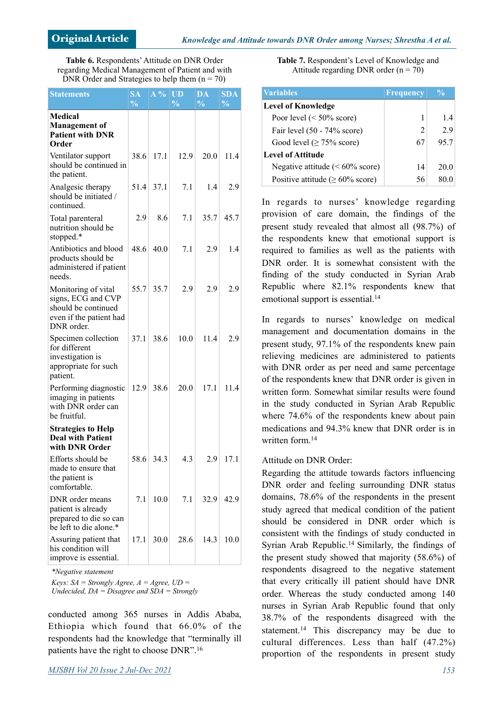**Table 6.** Respondents' Attitude on DNR Order regarding Medical Management of Patient and with DNR Order and Strategies to help them  $(n = 70)$ 

| <b>Statements</b>                                                                                         | SA<br>$\frac{0}{0}$ | $\overline{A} \overline{\frac{0}{0}}$ | UD<br>$\frac{0}{0}$ | DA<br>$\frac{0}{0}$ | SDA<br>$\frac{0}{0}$ |
|-----------------------------------------------------------------------------------------------------------|---------------------|---------------------------------------|---------------------|---------------------|----------------------|
| <b>Medical</b><br><b>Management of</b><br><b>Patient with DNR</b><br>Order                                |                     |                                       |                     |                     |                      |
| Ventilator support<br>should be continued in<br>the patient.                                              | 38.6                | 17.1                                  | 12.9                | 20.0                | 11.4                 |
| Analgesic therapy<br>should be initiated /<br>continued.                                                  | 51.4                | 37.1                                  | 7.1                 | 1.4                 | 2.9                  |
| Total parenteral<br>nutrition should be<br>stopped.*                                                      | 2.9                 | 8.6                                   | 7.1                 | 35.7                | 45.7                 |
| Antibiotics and blood<br>products should be<br>administered if patient<br>needs.                          | 48.6                | 40.0                                  | 7.1                 | 2.9                 | 1.4                  |
| Monitoring of vital<br>signs, ECG and CVP<br>should be continued<br>even if the patient had<br>DNR order. | 55.7                | 35.7                                  | 2.9                 | 2.9                 | 2.9                  |
| Specimen collection<br>for different<br>investigation is<br>appropriate for such<br>patient.              | 37.1                | 38.6                                  | 10.0                | 11.4                | 2.9                  |
| Performing diagnostic<br>imaging in patients<br>with DNR order can<br>be fruitful.                        | 12.9                | 38.6                                  | 20.0                | 17.1                | 11.4                 |
| <b>Strategies to Help</b><br><b>Deal with Patient</b><br>with DNR Order                                   |                     |                                       |                     |                     |                      |
| Efforts should be<br>made to ensure that<br>the patient is<br>comfortable.                                | 58.6                | 34.3                                  | 4.3                 | 2.9                 | 17.1                 |
| DNR order means<br>patient is already<br>prepared to die so can<br>be left to die alone.*                 | 7.1                 | 10.0                                  | 7.1                 | 32.9                | 42.9                 |
| Assuring patient that<br>his condition will<br>improve is essential.                                      | 17.1                | 30.0                                  | 28.6                | 14.3                | 10.0                 |

*\*Negative statement*

*Keys: SA = Strongly Agree, A = Agree, UD = Undecided, DA = Disagree and SDA = Strongly* 

conducted among 365 nurses in Addis Ababa, Ethiopia which found that 66.0% of the respondents had the knowledge that "terminally ill patients have the right to choose DNR".16

**Table 7.** Respondent's Level of Knowledge and Attitude regarding DNR order  $(n = 70)$ 

| <i><b>Variables</b></i>                | <b>Frequency</b> | $\frac{0}{0}$ |
|----------------------------------------|------------------|---------------|
| <b>Level of Knowledge</b>              |                  |               |
| Poor level $(< 50\%$ score)            |                  | 1.4           |
| Fair level (50 - 74% score)            | 2                | 29            |
| Good level ( $\geq$ 75% score)         | 67               | 95.7          |
| <b>Level of Attitude</b>               |                  |               |
| Negative attitude ( $\leq 60\%$ score) | 14               | 20.0          |
| Positive attitude ( $\geq 60\%$ score) | 56               | 80.0          |

In regards to nurses' knowledge regarding provision of care domain, the findings of the present study revealed that almost all (98.7%) of the respondents knew that emotional support is required to families as well as the patients with DNR order. It is somewhat consistent with the finding of the study conducted in Syrian Arab Republic where 82.1% respondents knew that emotional support is essential.<sup>14</sup>

In regards to nurses' knowledge on medical management and documentation domains in the present study, 97.1% of the respondents knew pain relieving medicines are administered to patients with DNR order as per need and same percentage of the respondents knew that DNR order is given in written form. Somewhat similar results were found in the study conducted in Syrian Arab Republic where 74.6% of the respondents knew about pain medications and 94.3% knew that DNR order is in written form <sup>14</sup>

#### Attitude on DNR Order:

Regarding the attitude towards factors influencing DNR order and feeling surrounding DNR status domains, 78.6% of the respondents in the present study agreed that medical condition of the patient should be considered in DNR order which is consistent with the findings of study conducted in Syrian Arab Republic.14 Similarly, the findings of the present study showed that majority (58.6%) of respondents disagreed to the negative statement that every critically ill patient should have DNR order. Whereas the study conducted among 140 nurses in Syrian Arab Republic found that only 38.7% of the respondents disagreed with the statement.<sup>14</sup> This discrepancy may be due to cultural differences. Less than half (47.2%) proportion of the respondents in present study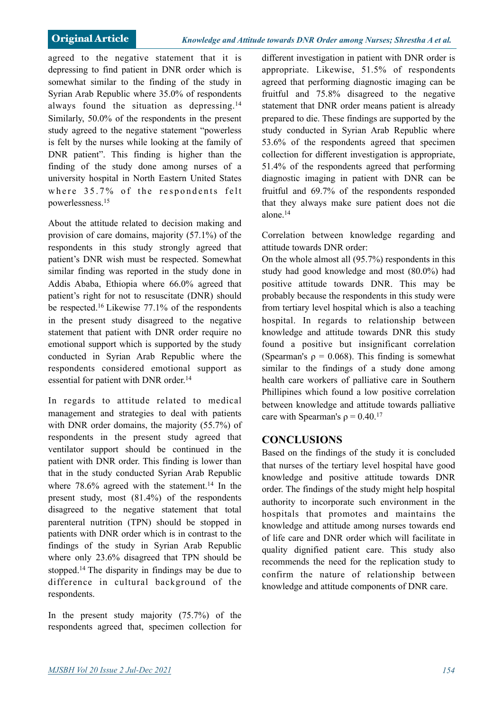agreed to the negative statement that it is depressing to find patient in DNR order which is somewhat similar to the finding of the study in Syrian Arab Republic where 35.0% of respondents always found the situation as depressing.14 Similarly, 50.0% of the respondents in the present study agreed to the negative statement "powerless is felt by the nurses while looking at the family of DNR patient". This finding is higher than the finding of the study done among nurses of a university hospital in North Eastern United States where  $35.7\%$  of the respondents felt powerlessness.15

About the attitude related to decision making and provision of care domains, majority (57.1%) of the respondents in this study strongly agreed that patient's DNR wish must be respected. Somewhat similar finding was reported in the study done in Addis Ababa, Ethiopia where 66.0% agreed that patient's right for not to resuscitate (DNR) should be respected.16 Likewise 77.1% of the respondents in the present study disagreed to the negative statement that patient with DNR order require no emotional support which is supported by the study conducted in Syrian Arab Republic where the respondents considered emotional support as essential for patient with DNR order.<sup>14</sup>

In regards to attitude related to medical management and strategies to deal with patients with DNR order domains, the majority (55.7%) of respondents in the present study agreed that ventilator support should be continued in the patient with DNR order. This finding is lower than that in the study conducted Syrian Arab Republic where  $78.6\%$  agreed with the statement.<sup>14</sup> In the present study, most (81.4%) of the respondents disagreed to the negative statement that total parenteral nutrition (TPN) should be stopped in patients with DNR order which is in contrast to the findings of the study in Syrian Arab Republic where only 23.6% disagreed that TPN should be stopped.14 The disparity in findings may be due to difference in cultural background of the respondents.

In the present study majority (75.7%) of the respondents agreed that, specimen collection for different investigation in patient with DNR order is appropriate. Likewise, 51.5% of respondents agreed that performing diagnostic imaging can be fruitful and 75.8% disagreed to the negative statement that DNR order means patient is already prepared to die. These findings are supported by the study conducted in Syrian Arab Republic where 53.6% of the respondents agreed that specimen collection for different investigation is appropriate, 51.4% of the respondents agreed that performing diagnostic imaging in patient with DNR can be fruitful and 69.7% of the respondents responded that they always make sure patient does not die alone.14

Correlation between knowledge regarding and attitude towards DNR order:

On the whole almost all (95.7%) respondents in this study had good knowledge and most (80.0%) had positive attitude towards DNR. This may be probably because the respondents in this study were from tertiary level hospital which is also a teaching hospital. In regards to relationship between knowledge and attitude towards DNR this study found a positive but insignificant correlation (Spearman's  $\rho = 0.068$ ). This finding is somewhat similar to the findings of a study done among health care workers of palliative care in Southern Phillipines which found a low positive correlation between knowledge and attitude towards palliative care with Spearman's  $\rho = 0.40$ <sup>17</sup>

# **CONCLUSIONS**

Based on the findings of the study it is concluded that nurses of the tertiary level hospital have good knowledge and positive attitude towards DNR order. The findings of the study might help hospital authority to incorporate such environment in the hospitals that promotes and maintains the knowledge and attitude among nurses towards end of life care and DNR order which will facilitate in quality dignified patient care. This study also recommends the need for the replication study to confirm the nature of relationship between knowledge and attitude components of DNR care.